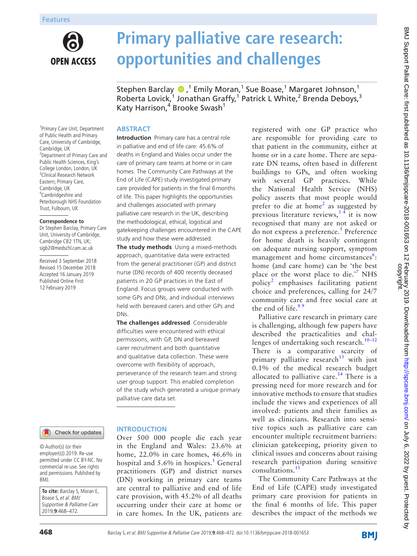

# **Primary palliative care research: opportunities and challenges**

Stephen Barclay  $\bigcirc$  ,<sup>1</sup> Emily Moran,<sup>1</sup> Sue Boase,<sup>1</sup> Margaret Johnson,<sup>1</sup> Roberta Lovick,<sup>1</sup> Jonathan Graffy,<sup>1</sup> Patrick L White,<sup>2</sup> Brenda Deboys,<sup>3</sup> Katy Harrison,<sup>4</sup> Brooke Swash<sup>1</sup>

# **Abstract**

**Introduction** Primary care has a central role in palliative and end of life care: 45.6% of deaths in England and Wales occur under the care of primary care teams at home or in care homes. The Community Care Pathways at the End of Life (CAPE) study investigated primary care provided for patients in the final 6months of life. This paper highlights the opportunities and challenges associated with primary palliative care research in the UK, describing the methodological, ethical, logistical and gatekeeping challenges encountered in the CAPE

study and how these were addressed.

**The study methods** Using a mixed-methods approach, quantitative data were extracted from the general practitioner (GP) and district nurse (DN) records of 400 recently deceased patients in 20 GP practices in the East of England. Focus groups were conducted with some GPs and DNs, and individual interviews held with bereaved carers and other GPs and

**The challenges addressed** Considerable difficulties were encountered with ethical permissions, with GP, DN and bereaved carer recruitment and both quantitative and qualitative data collection. These were overcome with flexibility of approach, perseverance of the research team and strong user group support. This enabled completion of the study which generated a unique primary

<sup>1</sup> Primary Care Unit, Department of Public Health and Primary Care, University of Cambridge, Cambridge, UK <sup>2</sup> Department of Primary Care and Public Health Sciences, King's College London, London, UK <sup>3</sup> Clinical Research Network Eastern; Primary Care, Cambridge, UK 4 Cambridgeshire and Peterborough NHS Foundation Trust, Fulbourn, UK

#### **Correspondence to**

Dr Stephen Barclay, Primary Care Unit, University of Cambridge, Cambridge CB2 1TN, UK; sigb2@medschl.cam.ac.uk

Received 3 September 2018 Revised 15 December 2018 Accepted 16 January 2019 Published Online First 12 February 2019

## Check for updates

© Author(s) (or their employer(s)) 2019. Re-use permitted under CC BY-NC. No commercial re-use. See rights and permissions. Published by BMJ.

**To cite:** Barclay S, Moran E, Boase S, et al. BMJ Supportive & Palliative Care 2019;**9**:468–472.

# **Introduction**

palliative care data set.

DNs.

Over 500 000 people die each year in the England and Wales: 23.6% at home, 22.0% in care homes, 46.6% in hospital and  $5.6\%$  in hospices.<sup>[1](#page-4-0)</sup> General practitioners (GP) and district nurses (DN) working in primary care teams are central to palliative and end of life care provision, with 45.2% of all deaths occurring under their care at home or in care homes. In the UK, patients are

registered with one GP practice who are responsible for providing care to that patient in the community, either at home or in a care home. There are separate DN teams, often based in different buildings to GPs, and often working with several GP practices. While the National Health Service (NHS) policy asserts that most people would prefer to die at home<sup>[2](#page-4-1)</sup> as suggested by previous literature reviews,  $3\frac{4}{1}$  it is now recognised that many are not asked or do not express a preference.<sup>[5](#page-4-3)</sup> Preference for home death is heavily contingent on adequate nursing support, symptom management and home circumstances<sup>[6](#page-4-4)</sup>: home (and care home) can be 'the best place or the worst place to die.'<sup>[7](#page-4-5)</sup> NHS policy[2](#page-4-1) emphasises facilitating patient choice and preferences, calling for 24/7 community care and free social care at the end of life. $8<sup>9</sup>$ 

Palliative care research in primary care is challenging, although few papers have described the practicalities and challenges of undertaking such research.<sup>10-12</sup> There is a comparative scarcity of primary palliative research<sup>13</sup> with just 0.1% of the medical research budget allocated to palliative care.<sup>14</sup> There is a pressing need for more research and for innovative methods to ensure that studies include the views and experiences of all involved: patients and their families as well as clinicians. Research into sensitive topics such as palliative care can encounter multiple recruitment barriers: clinician gatekeeping, priority given to clinical issues and concerns about raising research participation during sensitive consultations.[15](#page-4-10)

The Community Care Pathways at the End of Life (CAPE) study investigated primary care provision for patients in the final 6 months of life. This paper describes the impact of the methods we

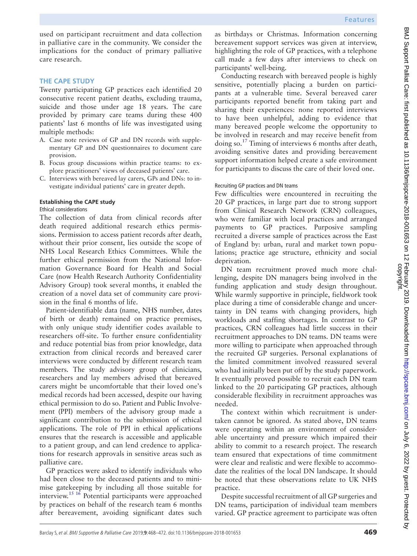used on participant recruitment and data collection in palliative care in the community. We consider the implications for the conduct of primary palliative care research.

## **The CAPE study**

Twenty participating GP practices each identified 20 consecutive recent patient deaths, excluding trauma, suicide and those under age 18 years. The care provided by primary care teams during these 400 patients' last 6 months of life was investigated using multiple methods:

- A. Case note reviews of GP and DN records with supplementary GP and DN questionnaires to document care provision.
- B. Focus group discussions within practice teams: to explore practitioners' views of deceased patients' care.
- C. Interviews with bereaved lay carers, GPs and DNs: to investigate individual patients' care in greater depth.

## **Establishing the CAPE study**

## Ethical considerations

The collection of data from clinical records after death required additional research ethics permissions. Permission to access patient records after death, without their prior consent, lies outside the scope of NHS Local Research Ethics Committees. While the further ethical permission from the National Information Governance Board for Health and Social Care (now Health Research Authority Confidentiality Advisory Group) took several months, it enabled the creation of a novel data set of community care provision in the final 6 months of life.

Patient-identifiable data (name, NHS number, dates of birth or death) remained on practice premises, with only unique study identifier codes available to researchers off-site. To further ensure confidentiality and reduce potential bias from prior knowledge, data extraction from clinical records and bereaved carer interviews were conducted by different research team members. The study advisory group of clinicians, researchers and lay members advised that bereaved carers might be uncomfortable that their loved one's medical records had been accessed, despite our having ethical permission to do so. Patient and Public Involvement (PPI) members of the advisory group made a significant contribution to the submission of ethical applications. The role of PPI in ethical applications ensures that the research is accessible and applicable to a patient group, and can lend credence to applications for research approvals in sensitive areas such as palliative care.

GP practices were asked to identify individuals who had been close to the deceased patients and to minimise gatekeeping by including all those suitable for interview[.15 16](#page-4-10) Potential participants were approached by practices on behalf of the research team 6 months after bereavement, avoiding significant dates such

as birthdays or Christmas. Information concerning bereavement support services was given at interview, highlighting the role of GP practices, with a telephone call made a few days after interviews to check on participants' well-being.

Conducting research with bereaved people is highly sensitive, potentially placing a burden on participants at a vulnerable time. Several bereaved carer participants reported benefit from taking part and sharing their experiences: none reported interviews to have been unhelpful, adding to evidence that many bereaved people welcome the opportunity to be involved in research and may receive benefit from doing so.<sup>[17](#page-4-11)</sup> Timing of interviews 6 months after death, avoiding sensitive dates and providing bereavement support information helped create a safe environment for participants to discuss the care of their loved one.

## Recruiting GP practices and DN teams

Few difficulties were encountered in recruiting the 20 GP practices, in large part due to strong support from Clinical Research Network (CRN) colleagues, who were familiar with local practices and arranged payments to GP practices. Purposive sampling recruited a diverse sample of practices across the East of England by: urban, rural and market town populations; practice age structure, ethnicity and social deprivation.

DN team recruitment proved much more challenging, despite DN managers being involved in the funding application and study design throughout. While warmly supportive in principle, fieldwork took place during a time of considerable change and uncertainty in DN teams with changing providers, high workloads and staffing shortages. In contrast to GP practices, CRN colleagues had little success in their recruitment approaches to DN teams. DN teams were more willing to participate when approached through the recruited GP surgeries. Personal explanations of the limited commitment involved reassured several who had initially been put off by the study paperwork. It eventually proved possible to recruit each DN team linked to the 20 participating GP practices, although considerable flexibility in recruitment approaches was needed.

The context within which recruitment is undertaken cannot be ignored. As stated above, DN teams were operating within an environment of considerable uncertainty and pressure which impaired their ability to commit to a research project. The research team ensured that expectations of time commitment were clear and realistic and were flexible to accommodate the realities of the local DN landscape. It should be noted that these observations relate to UK NHS practice.

Despite successful recruitment of all GP surgeries and DN teams, participation of individual team members varied. GP practice agreement to participate was often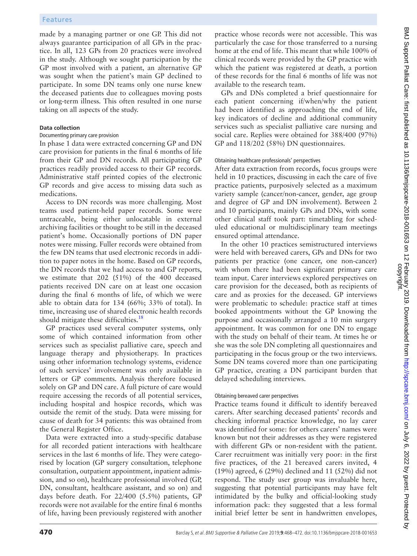made by a managing partner or one GP. This did not always guarantee participation of all GPs in the practice. In all, 123 GPs from 20 practices were involved in the study. Although we sought participation by the GP most involved with a patient, an alternative GP was sought when the patient's main GP declined to participate. In some DN teams only one nurse knew the deceased patients due to colleagues moving posts or long-term illness. This often resulted in one nurse taking on all aspects of the study.

## **Data collection**

## Documenting primary care provision

In phase 1 data were extracted concerning GP and DN care provision for patients in the final 6 months of life from their GP and DN records. All participating GP practices readily provided access to their GP records. Administrative staff printed copies of the electronic GP records and give access to missing data such as medications.

Access to DN records was more challenging. Most teams used patient-held paper records. Some were untraceable, being either unlocatable in external archiving facilities or thought to be still in the deceased patient's home. Occasionally portions of DN paper notes were missing. Fuller records were obtained from the few DN teams that used electronic records in addition to paper notes in the home. Based on GP records, the DN records that we had access to and GP reports, we estimate that 202 (51%) of the 400 deceased patients received DN care on at least one occasion during the final 6 months of life, of which we were able to obtain data for 134 (66%; 33% of total). In time, increasing use of shared electronic health records should mitigate these difficulties.<sup>[18](#page-4-12)</sup>

GP practices used several computer systems, only some of which contained information from other services such as specialist palliative care, speech and language therapy and physiotherapy. In practices using other information technology systems, evidence of such services' involvement was only available in letters or GP comments. Analysis therefore focused solely on GP and DN care. A full picture of care would require accessing the records of all potential services, including hospital and hospice records, which was outside the remit of the study. Data were missing for cause of death for 34 patients: this was obtained from the General Register Office.

Data were extracted into a study-specific database for all recorded patient interactions with healthcare services in the last 6 months of life. They were categorised by location (GP surgery consultation, telephone consultation, outpatient appointment, inpatient admission, and so on), healthcare professional involved (GP, DN, consultant, healthcare assistant, and so on) and days before death. For 22/400 (5.5%) patients, GP records were not available for the entire final 6 months of life, having been previously registered with another

practice whose records were not accessible. This was particularly the case for those transferred to a nursing home at the end of life. This meant that while 100% of clinical records were provided by the GP practice with which the patient was registered at death, a portion of these records for the final 6 months of life was not available to the research team.

GPs and DNs completed a brief questionnaire for each patient concerning if/when/why the patient had been identified as approaching the end of life, key indicators of decline and additional community services such as specialist palliative care nursing and social care. Replies were obtained for 388/400 (97%) GP and 118/202 (58%) DN questionnaires.

## Obtaining healthcare professionals' perspectives

After data extraction from records, focus groups were held in 10 practices, discussing in each the care of five practice patients, purposively selected as a maximum variety sample (cancer/non-cancer, gender, age group and degree of GP and DN involvement). Between 2 and 10 participants, mainly GPs and DNs, with some other clinical staff took part: timetabling for scheduled educational or multidisciplinary team meetings ensured optimal attendance.

In the other 10 practices semistructured interviews were held with bereaved carers, GPs and DNs for two patients per practice (one cancer, one non-cancer) with whom there had been significant primary care team input. Carer interviews explored perspectives on care provision for the deceased, both as recipients of care and as proxies for the deceased. GP interviews were problematic to schedule: practice staff at times booked appointments without the GP knowing the purpose and occasionally arranged a 10 min surgery appointment. It was common for one DN to engage with the study on behalf of their team. At times he or she was the sole DN completing all questionnaires and participating in the focus group or the two interviews. Some DN teams covered more than one participating GP practice, creating a DN participant burden that delayed scheduling interviews.

## Obtaining bereaved carer perspectives

Practice teams found it difficult to identify bereaved carers. After searching deceased patients' records and checking informal practice knowledge, no lay carer was identified for some: for others carers' names were known but not their addresses as they were registered with different GPs or non-resident with the patient. Carer recruitment was initially very poor: in the first five practices, of the 21 bereaved carers invited, 4 (19%) agreed, 6 (29%) declined and 11 (52%) did not respond. The study user group was invaluable here, suggesting that potential participants may have felt intimidated by the bulky and official-looking study information pack: they suggested that a less formal initial brief letter be sent in handwritten envelopes,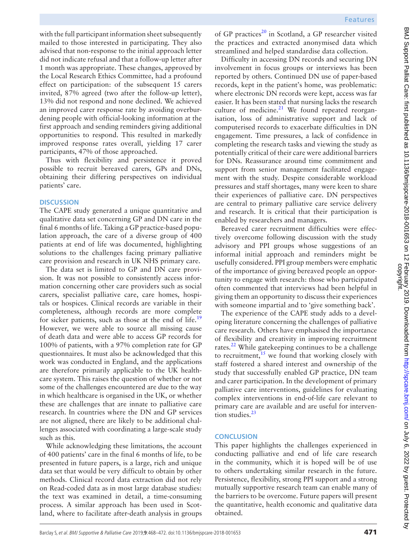with the full participant information sheet subsequently mailed to those interested in participating. They also advised that non-response to the initial approach letter did not indicate refusal and that a follow-up letter after 1 month was appropriate. These changes, approved by the Local Research Ethics Committee, had a profound effect on participation: of the subsequent 15 carers invited, 87% agreed (two after the follow-up letter), 13% did not respond and none declined. We achieved an improved carer response rate by avoiding overburdening people with official-looking information at the first approach and sending reminders giving additional opportunities to respond. This resulted in markedly improved response rates overall, yielding 17 carer participants, 47% of those approached.

Thus with flexibility and persistence it proved possible to recruit bereaved carers, GPs and DNs, obtaining their differing perspectives on individual patients' care.

## **Discussion**

The CAPE study generated a unique quantitative and qualitative data set concerning GP and DN care in the final 6 months of life. Taking a GP practice-based population approach, the care of a diverse group of 400 patients at end of life was documented, highlighting solutions to the challenges facing primary palliative care provision and research in UK NHS primary care.

The data set is limited to GP and DN care provision. It was not possible to consistently access information concerning other care providers such as social carers, specialist palliative care, care homes, hospitals or hospices. Clinical records are variable in their completeness, although records are more complete for sicker patients, such as those at the end of life.<sup>[19](#page-4-13)</sup> However, we were able to source all missing cause of death data and were able to access GP records for 100% of patients, with a 97% completion rate for GP questionnaires. It must also be acknowledged that this work was conducted in England, and the applications are therefore primarily applicable to the UK healthcare system. This raises the question of whether or not some of the challenges encountered are due to the way in which healthcare is organised in the UK, or whether these are challenges that are innate to palliative care research. In countries where the DN and GP services are not aligned, there are likely to be additional challenges associated with coordinating a large-scale study such as this.

While acknowledging these limitations, the account of 400 patients' care in the final 6 months of life, to be presented in future papers, is a large, rich and unique data set that would be very difficult to obtain by other methods. Clinical record data extraction did not rely on Read-coded data as in most large database studies: the text was examined in detail, a time-consuming process. A similar approach has been used in Scotland, where to facilitate after-death analysis in groups

of GP practices<sup>20</sup> in Scotland, a GP researcher visited the practices and extracted anonymised data which streamlined and helped standardise data collection.

Difficulty in accessing DN records and securing DN involvement in focus groups or interviews has been reported by others. Continued DN use of paper-based records, kept in the patient's home, was problematic: where electronic DN records were kept, access was far easier. It has been stated that nursing lacks the research culture of medicine. $21$  We found repeated reorganisation, loss of administrative support and lack of computerised records to exacerbate difficulties in DN engagement. Time pressures, a lack of confidence in completing the research tasks and viewing the study as potentially critical of their care were additional barriers for DNs. Reassurance around time commitment and support from senior management facilitated engagement with the study. Despite considerable workload pressures and staff shortages, many were keen to share their experiences of palliative care. DN perspectives are central to primary palliative care service delivery and research. It is critical that their participation is enabled by researchers and managers.

Bereaved carer recruitment difficulties were effectively overcome following discussion with the study advisory and PPI groups whose suggestions of an informal initial approach and reminders might be usefully considered. PPI group members were emphatic of the importance of giving bereaved people an opportunity to engage with research: those who participated often commented that interviews had been helpful in giving them an opportunity to discuss their experiences with someone impartial and to 'give something back'.

The experience of the CAPE study adds to a developing literature concerning the challenges of palliative care research. Others have emphasised the importance of flexibility and creativity in improving recruitment rates.<sup>[22](#page-4-16)</sup> While gatekeeping continues to be a challenge to recruitment, $^{15}$  we found that working closely with staff fostered a shared interest and ownership of the study that successfully enabled GP practice, DN team and carer participation. In the development of primary palliative care interventions, guidelines for evaluating complex interventions in end-of-life care relevant to primary care are available and are useful for interven-tion studies.<sup>[23](#page-4-17)</sup>

# **Conclusion**

This paper highlights the challenges experienced in conducting palliative and end of life care research in the community, which it is hoped will be of use to others undertaking similar research in the future. Persistence, flexibility, strong PPI support and a strong mutually supportive research team can enable many of the barriers to be overcome. Future papers will present the quantitative, health economic and qualitative data obtained.